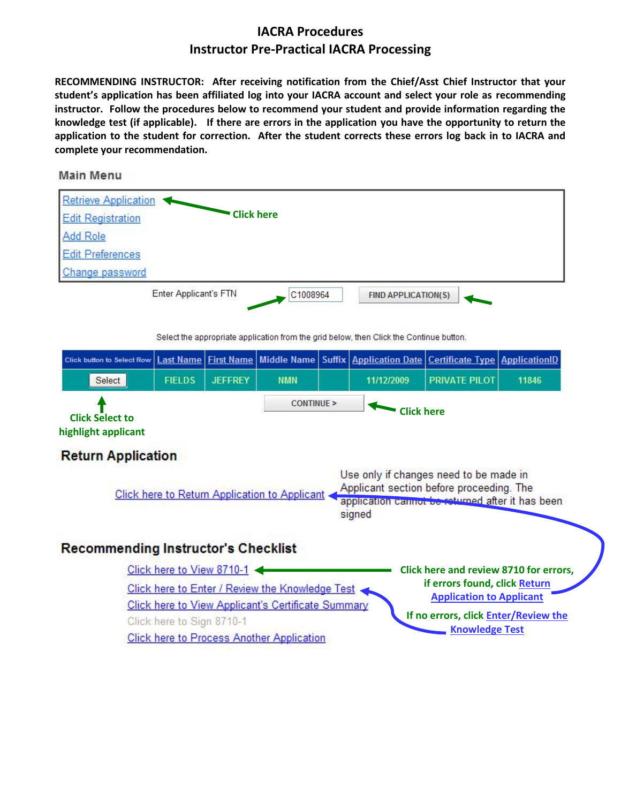# **IACRA Procedures Instructor Pre-Practical IACRA Processing**

**RECOMMENDING INSTRUCTOR: After receiving notification from the Chief/Asst Chief Instructor that your student's application has been affiliated log into your IACRA account and select your role as recommending instructor. Follow the procedures below to recommend your student and provide information regarding the knowledge test (if applicable). If there are errors in the application you have the opportunity to return the application to the student for correction. After the student corrects these errors log back in to IACRA and complete your recommendation.**

#### **Main Menu**

| <b>Retrieve Application</b> |                       |                   |                            |  |
|-----------------------------|-----------------------|-------------------|----------------------------|--|
| <b>Edit Registration</b>    |                       | <b>Click here</b> |                            |  |
| Add Role                    |                       |                   |                            |  |
| <b>Edit Preferences</b>     |                       |                   |                            |  |
| Change password             |                       |                   |                            |  |
|                             | Enter Applicant's FTN | C1008964          | <b>FIND APPLICATION(S)</b> |  |
|                             |                       |                   |                            |  |

Select the appropriate application from the grid below, then Click the Continue button.

| <b>Click button to Select Row</b>             | <b>Last Name</b>                                                                                                                                                                                         | <b>First Name</b>                                                                |                                                    |  | Middle Name   Suffix   Application Date | <b>Certificate Type ApplicationID</b>                         |       |  |  |  |  |
|-----------------------------------------------|----------------------------------------------------------------------------------------------------------------------------------------------------------------------------------------------------------|----------------------------------------------------------------------------------|----------------------------------------------------|--|-----------------------------------------|---------------------------------------------------------------|-------|--|--|--|--|
| Select                                        | <b>FIELDS</b>                                                                                                                                                                                            | <b>JEFFREY</b>                                                                   | <b>NMN</b>                                         |  | 11/12/2009                              | <b>PRIVATE PILOT</b>                                          | 11846 |  |  |  |  |
| <b>Click Select to</b><br>highlight applicant | CONTINUE<br><b>Click here</b>                                                                                                                                                                            |                                                                                  |                                                    |  |                                         |                                                               |       |  |  |  |  |
| <b>Return Application</b>                     |                                                                                                                                                                                                          |                                                                                  |                                                    |  |                                         |                                                               |       |  |  |  |  |
|                                               | Use only if changes need to be made in<br>Applicant section before proceeding. The<br><b>Click here to Return Application to Applicant</b><br>application cannot be returned after it has been<br>signed |                                                                                  |                                                    |  |                                         |                                                               |       |  |  |  |  |
| <b>Recommending Instructor's Checklist</b>    |                                                                                                                                                                                                          |                                                                                  |                                                    |  |                                         |                                                               |       |  |  |  |  |
|                                               | Click here to View 8710-1                                                                                                                                                                                |                                                                                  |                                                    |  |                                         | Click here and review 8710 for errors,                        |       |  |  |  |  |
|                                               |                                                                                                                                                                                                          | if errors found, click Return<br>Click here to Enter / Review the Knowledge Test |                                                    |  |                                         |                                                               |       |  |  |  |  |
|                                               |                                                                                                                                                                                                          |                                                                                  | Click here to View Applicant's Certificate Summary |  |                                         | <b>Application to Applicant</b>                               |       |  |  |  |  |
|                                               | Click here to Sign 8710-1                                                                                                                                                                                |                                                                                  |                                                    |  |                                         | If no errors, click Enter/Review the<br><b>Knowledge Test</b> |       |  |  |  |  |
|                                               |                                                                                                                                                                                                          |                                                                                  | <b>Click here to Process Another Application</b>   |  |                                         |                                                               |       |  |  |  |  |